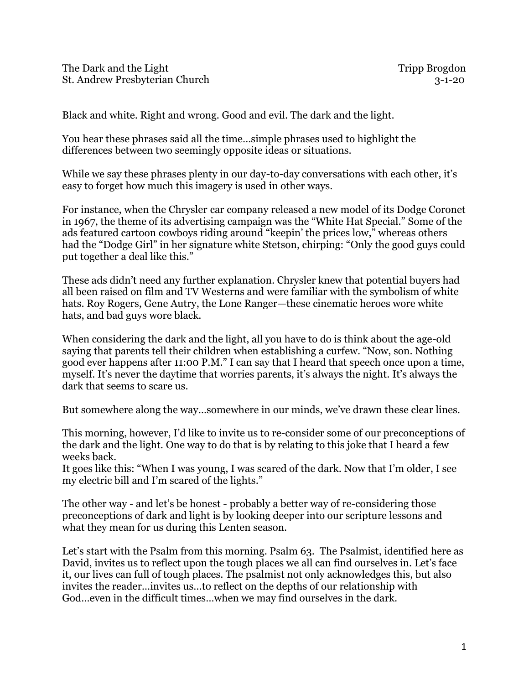Black and white. Right and wrong. Good and evil. The dark and the light.

You hear these phrases said all the time…simple phrases used to highlight the differences between two seemingly opposite ideas or situations.

While we say these phrases plenty in our day-to-day conversations with each other, it's easy to forget how much this imagery is used in other ways.

For instance, when the Chrysler car company released a new model of its Dodge Coronet in 1967, the theme of its advertising campaign was the "White Hat Special." Some of the ads featured cartoon cowboys riding around "keepin' the prices low," whereas others had the "Dodge Girl" in her signature white Stetson, chirping: "Only the good guys could put together a deal like this."

These ads didn't need any further explanation. Chrysler knew that potential buyers had all been raised on film and TV Westerns and were familiar with the symbolism of white hats. Roy Rogers, Gene Autry, the Lone Ranger—these cinematic heroes wore white hats, and bad guys wore black.

When considering the dark and the light, all you have to do is think about the age-old saying that parents tell their children when establishing a curfew. "Now, son. Nothing good ever happens after 11:00 P.M." I can say that I heard that speech once upon a time, myself. It's never the daytime that worries parents, it's always the night. It's always the dark that seems to scare us.

But somewhere along the way…somewhere in our minds, we've drawn these clear lines.

This morning, however, I'd like to invite us to re-consider some of our preconceptions of the dark and the light. One way to do that is by relating to this joke that I heard a few weeks back.

It goes like this: "When I was young, I was scared of the dark. Now that I'm older, I see my electric bill and I'm scared of the lights."

The other way - and let's be honest - probably a better way of re-considering those preconceptions of dark and light is by looking deeper into our scripture lessons and what they mean for us during this Lenten season.

Let's start with the Psalm from this morning. Psalm 63. The Psalmist, identified here as David, invites us to reflect upon the tough places we all can find ourselves in. Let's face it, our lives can full of tough places. The psalmist not only acknowledges this, but also invites the reader…invites us…to reflect on the depths of our relationship with God…even in the difficult times…when we may find ourselves in the dark.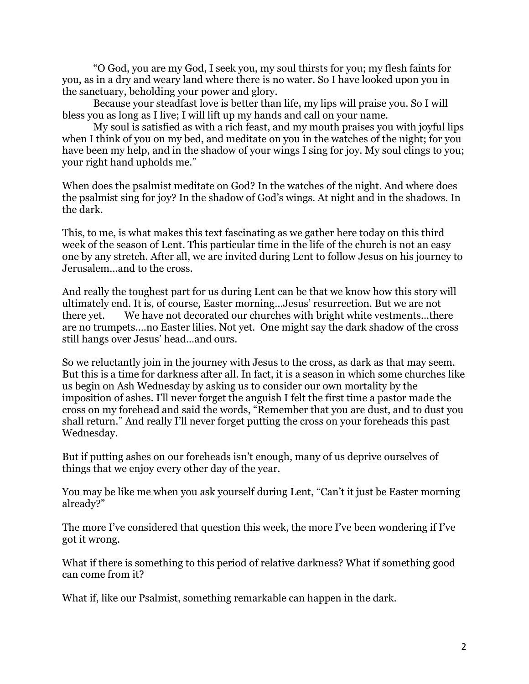"O God, you are my God, I seek you, my soul thirsts for you; my flesh faints for you, as in a dry and weary land where there is no water. So I have looked upon you in the sanctuary, beholding your power and glory.

Because your steadfast love is better than life, my lips will praise you. So I will bless you as long as I live; I will lift up my hands and call on your name.

My soul is satisfied as with a rich feast, and my mouth praises you with joyful lips when I think of you on my bed, and meditate on you in the watches of the night; for you have been my help, and in the shadow of your wings I sing for joy. My soul clings to you; your right hand upholds me."

When does the psalmist meditate on God? In the watches of the night. And where does the psalmist sing for joy? In the shadow of God's wings. At night and in the shadows. In the dark.

This, to me, is what makes this text fascinating as we gather here today on this third week of the season of Lent. This particular time in the life of the church is not an easy one by any stretch. After all, we are invited during Lent to follow Jesus on his journey to Jerusalem…and to the cross.

And really the toughest part for us during Lent can be that we know how this story will ultimately end. It is, of course, Easter morning…Jesus' resurrection. But we are not there yet. We have not decorated our churches with bright white vestments…there are no trumpets….no Easter lilies. Not yet. One might say the dark shadow of the cross still hangs over Jesus' head…and ours.

So we reluctantly join in the journey with Jesus to the cross, as dark as that may seem. But this is a time for darkness after all. In fact, it is a season in which some churches like us begin on Ash Wednesday by asking us to consider our own mortality by the imposition of ashes. I'll never forget the anguish I felt the first time a pastor made the cross on my forehead and said the words, "Remember that you are dust, and to dust you shall return." And really I'll never forget putting the cross on your foreheads this past Wednesday.

But if putting ashes on our foreheads isn't enough, many of us deprive ourselves of things that we enjoy every other day of the year.

You may be like me when you ask yourself during Lent, "Can't it just be Easter morning already?"

The more I've considered that question this week, the more I've been wondering if I've got it wrong.

What if there is something to this period of relative darkness? What if something good can come from it?

What if, like our Psalmist, something remarkable can happen in the dark.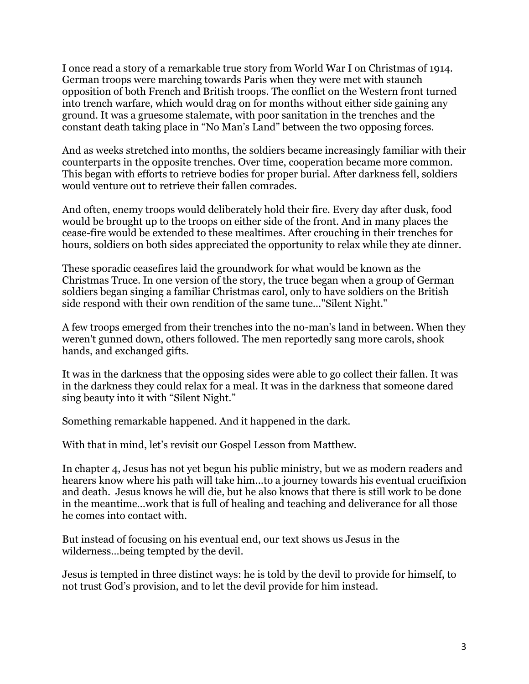I once read a story of a remarkable true story from World War I on Christmas of 1914. German troops were marching towards Paris when they were met with staunch opposition of both French and British troops. The conflict on the Western front turned into trench warfare, which would drag on for months without either side gaining any ground. It was a gruesome stalemate, with poor sanitation in the trenches and the constant death taking place in "No Man's Land" between the two opposing forces.

And as weeks stretched into months, the soldiers became increasingly familiar with their counterparts in the opposite trenches. Over time, cooperation became more common. This began with efforts to retrieve bodies for proper burial. After darkness fell, soldiers would venture out to retrieve their fallen comrades.

And often, enemy troops would deliberately hold their fire. Every day after dusk, food would be brought up to the troops on either side of the front. And in many places the cease-fire would be extended to these mealtimes. After crouching in their trenches for hours, soldiers on both sides appreciated the opportunity to relax while they ate dinner.

These sporadic ceasefires laid the groundwork for what would be known as the Christmas Truce. In one version of the story, the truce began when a group of German soldiers began singing a familiar Christmas carol, only to have soldiers on the British side respond with their own rendition of the same tune…"Silent Night."

A few troops emerged from their trenches into the no-man's land in between. When they weren't gunned down, others followed. The men reportedly sang more carols, shook hands, and exchanged gifts.

It was in the darkness that the opposing sides were able to go collect their fallen. It was in the darkness they could relax for a meal. It was in the darkness that someone dared sing beauty into it with "Silent Night."

Something remarkable happened. And it happened in the dark.

With that in mind, let's revisit our Gospel Lesson from Matthew.

In chapter 4, Jesus has not yet begun his public ministry, but we as modern readers and hearers know where his path will take him...to a journey towards his eventual crucifixion and death. Jesus knows he will die, but he also knows that there is still work to be done in the meantime…work that is full of healing and teaching and deliverance for all those he comes into contact with.

But instead of focusing on his eventual end, our text shows us Jesus in the wilderness…being tempted by the devil.

Jesus is tempted in three distinct ways: he is told by the devil to provide for himself, to not trust God's provision, and to let the devil provide for him instead.